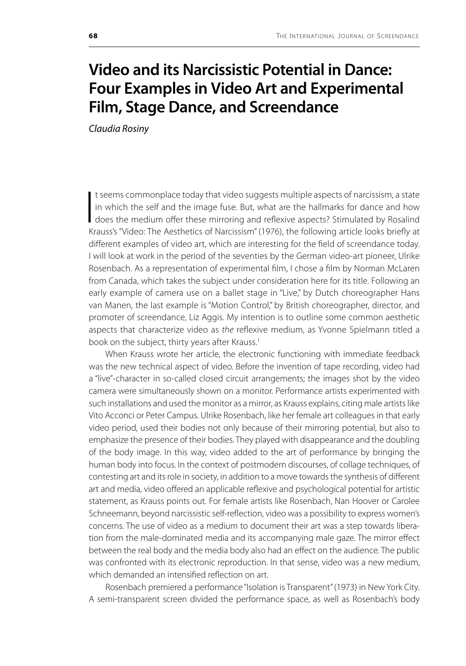## **Video and its Narcissistic Potential in Dance: Four Examples in Video Art and Experimental Film, Stage Dance, and Screendance**

*Claudia Rosiny*

 $\overline{\mathbf{I}}$ t seems commonplace today that video suggests multiple aspects of narcissism, a state in which the self and the image fuse. But, what are the hallmarks for dance and how does the medium offer these mirroring and reflexive aspects? Stimulated by Rosalind Krauss's "Video: The Aesthetics of Narcissism" (1976), the following article looks briefly at different examples of video art, which are interesting for the field of screendance today. I will look at work in the period of the seventies by the German video-art pioneer, Ulrike Rosenbach. As a representation of experimental film, I chose a film by Norman McLaren from Canada, which takes the subject under consideration here for its title. Following an early example of camera use on a ballet stage in "Live," by Dutch choreographer Hans van Manen, the last example is "Motion Control," by British choreographer, director, and promoter of screendance, Liz Aggis. My intention is to outline some common aesthetic aspects that characterize video as *the* reflexive medium, as Yvonne Spielmann titled a book on the subject, thirty years after Krauss.<sup>1</sup>

When Krauss wrote her article, the electronic functioning with immediate feedback was the new technical aspect of video. Before the invention of tape recording, video had a "live"-character in so-called closed circuit arrangements; the images shot by the video camera were simultaneously shown on a monitor. Performance artists experimented with such installations and used the monitor as a mirror, as Krauss explains, citing male artists like Vito Acconci or Peter Campus. Ulrike Rosenbach, like her female art colleagues in that early video period, used their bodies not only because of their mirroring potential, but also to emphasize the presence of their bodies. They played with disappearance and the doubling of the body image. In this way, video added to the art of performance by bringing the human body into focus. In the context of postmodern discourses, of collage techniques, of contesting art and its role in society, in addition to a move towards the synthesis of different art and media, video offered an applicable reflexive and psychological potential for artistic statement, as Krauss points out. For female artists like Rosenbach, Nan Hoover or Carolee Schneemann, beyond narcissistic self-reflection, video was a possibility to express women's concerns. The use of video as a medium to document their art was a step towards liberation from the male-dominated media and its accompanying male gaze. The mirror effect between the real body and the media body also had an effect on the audience. The public was confronted with its electronic reproduction. In that sense, video was a new medium, which demanded an intensified reflection on art.

Rosenbach premiered a performance "Isolation is Transparent" (1973) in New York City. A semi-transparent screen divided the performance space, as well as Rosenbach's body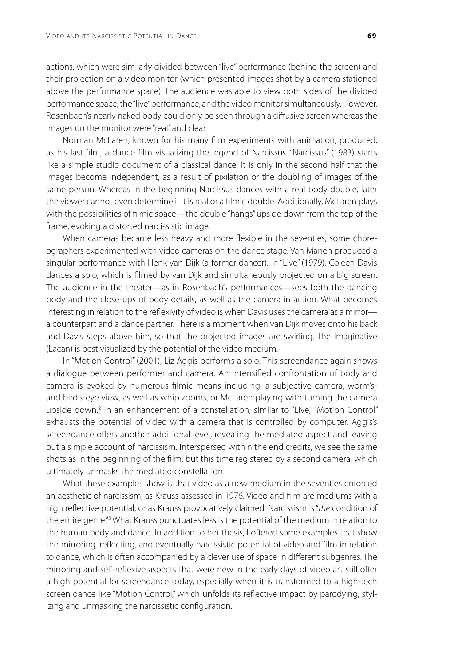actions, which were similarly divided between "live" performance (behind the screen) and their projection on a video monitor (which presented images shot by a camera stationed above the performance space). The audience was able to view both sides of the divided performance space, the "live" performance, and the video monitor simultaneously. However, Rosenbach's nearly naked body could only be seen through a diffusive screen whereas the images on the monitor were "real" and clear.

Norman McLaren, known for his many film experiments with animation, produced, as his last film, a dance film visualizing the legend of Narcissus. "Narcissus" (1983) starts like a simple studio document of a classical dance; it is only in the second half that the images become independent, as a result of pixilation or the doubling of images of the same person. Whereas in the beginning Narcissus dances with a real body double, later the viewer cannot even determine if it is real or a filmic double. Additionally, McLaren plays with the possibilities of filmic space—the double "hangs" upside down from the top of the frame, evoking a distorted narcissistic image.

When cameras became less heavy and more flexible in the seventies, some choreographers experimented with video cameras on the dance stage. Van Manen produced a singular performance with Henk van Dijk (a former dancer). In "Live" (1979), Coleen Davis dances a solo, which is filmed by van Dijk and simultaneously projected on a big screen. The audience in the theater—as in Rosenbach's performances—sees both the dancing body and the close-ups of body details, as well as the camera in action. What becomes interesting in relation to the reflexivity of video is when Davis uses the camera as a mirror a counterpart and a dance partner. There is a moment when van Dijk moves onto his back and Davis steps above him, so that the projected images are swirling. The imaginative (Lacan) is best visualized by the potential of the video medium.

In "Motion Control" (2001), Liz Aggis performs a solo. This screendance again shows a dialogue between performer and camera. An intensified confrontation of body and camera is evoked by numerous filmic means including: a subjective camera, worm'sand bird's-eye view, as well as whip zooms, or McLaren playing with turning the camera upside down.<sup>2</sup> In an enhancement of a constellation, similar to "Live," "Motion Control" exhausts the potential of video with a camera that is controlled by computer. Aggis's screendance offers another additional level, revealing the mediated aspect and leaving out a simple account of narcissism. Interspersed within the end credits, we see the same shots as in the beginning of the film, but this time registered by a second camera, which ultimately unmasks the mediated constellation.

What these examples show is that video as a new medium in the seventies enforced an aesthetic of narcissism, as Krauss assessed in 1976. Video and film are mediums with a high reflective potential; or as Krauss provocatively claimed: Narcissism is "*the* condition of the entire genre."<sup>3</sup> What Krauss punctuates less is the potential of the medium in relation to the human body and dance. In addition to her thesis, I offered some examples that show the mirroring, reflecting, and eventually narcissistic potential of video and film in relation to dance, which is often accompanied by a clever use of space in different subgenres. The mirroring and self-reflexive aspects that were new in the early days of video art still offer a high potential for screendance today, especially when it is transformed to a high-tech screen dance like "Motion Control," which unfolds its reflective impact by parodying, stylizing and unmasking the narcissistic configuration.